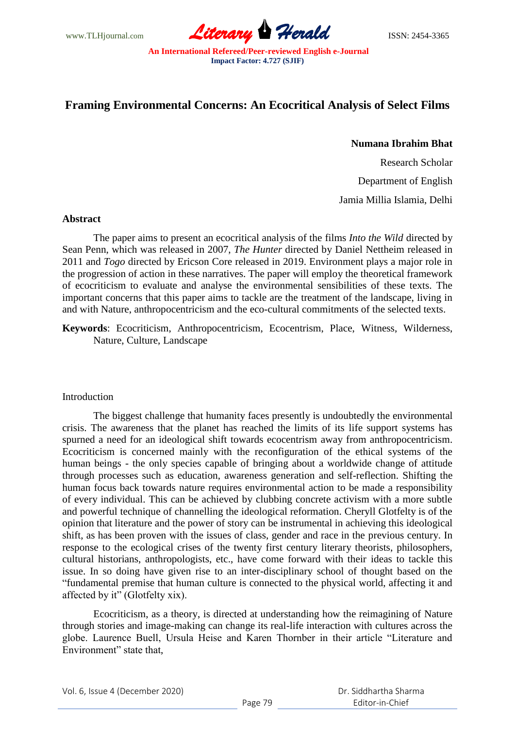

# **Framing Environmental Concerns: An Ecocritical Analysis of Select Films**

## **Numana Ibrahim Bhat**

Research Scholar Department of English

Jamia Millia Islamia, Delhi

## **Abstract**

The paper aims to present an ecocritical analysis of the films *Into the Wild* directed by Sean Penn, which was released in 2007, *The Hunter* directed by Daniel Nettheim released in 2011 and *Togo* directed by Ericson Core released in 2019. Environment plays a major role in the progression of action in these narratives. The paper will employ the theoretical framework of ecocriticism to evaluate and analyse the environmental sensibilities of these texts. The important concerns that this paper aims to tackle are the treatment of the landscape, living in and with Nature, anthropocentricism and the eco-cultural commitments of the selected texts.

**Keywords**: Ecocriticism, Anthropocentricism, Ecocentrism, Place, Witness, Wilderness, Nature, Culture, Landscape

# Introduction

The biggest challenge that humanity faces presently is undoubtedly the environmental crisis. The awareness that the planet has reached the limits of its life support systems has spurned a need for an ideological shift towards ecocentrism away from anthropocentricism. Ecocriticism is concerned mainly with the reconfiguration of the ethical systems of the human beings - the only species capable of bringing about a worldwide change of attitude through processes such as education, awareness generation and self-reflection. Shifting the human focus back towards nature requires environmental action to be made a responsibility of every individual. This can be achieved by clubbing concrete activism with a more subtle and powerful technique of channelling the ideological reformation. Cheryll Glotfelty is of the opinion that literature and the power of story can be instrumental in achieving this ideological shift, as has been proven with the issues of class, gender and race in the previous century. In response to the ecological crises of the twenty first century literary theorists, philosophers, cultural historians, anthropologists, etc., have come forward with their ideas to tackle this issue. In so doing have given rise to an inter-disciplinary school of thought based on the ―fundamental premise that human culture is connected to the physical world, affecting it and affected by it" (Glotfelty xix).

Ecocriticism, as a theory, is directed at understanding how the reimagining of Nature through stories and image-making can change its real-life interaction with cultures across the globe. Laurence Buell, Ursula Heise and Karen Thornber in their article "Literature and Environment" state that,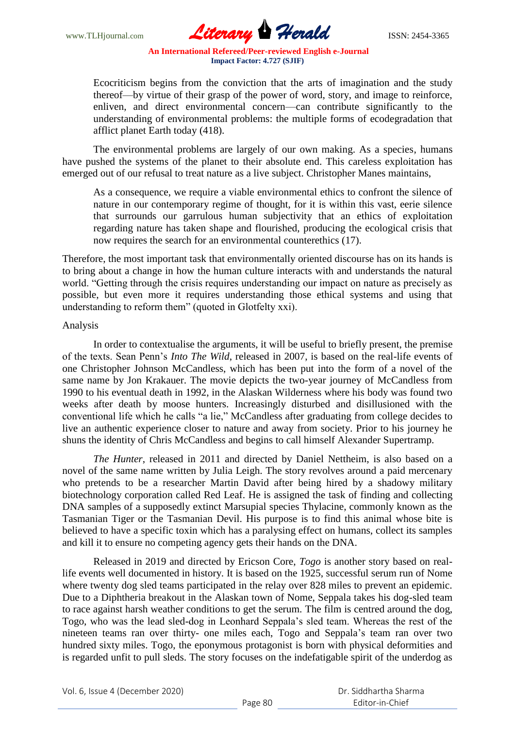

Ecocriticism begins from the conviction that the arts of imagination and the study thereof—by virtue of their grasp of the power of word, story, and image to reinforce, enliven, and direct environmental concern—can contribute significantly to the understanding of environmental problems: the multiple forms of ecodegradation that afflict planet Earth today (418).

The environmental problems are largely of our own making. As a species, humans have pushed the systems of the planet to their absolute end. This careless exploitation has emerged out of our refusal to treat nature as a live subject. Christopher Manes maintains,

As a consequence, we require a viable environmental ethics to confront the silence of nature in our contemporary regime of thought, for it is within this vast, eerie silence that surrounds our garrulous human subjectivity that an ethics of exploitation regarding nature has taken shape and flourished, producing the ecological crisis that now requires the search for an environmental counterethics (17).

Therefore, the most important task that environmentally oriented discourse has on its hands is to bring about a change in how the human culture interacts with and understands the natural world. "Getting through the crisis requires understanding our impact on nature as precisely as possible, but even more it requires understanding those ethical systems and using that understanding to reform them" (quoted in Glotfelty xxi).

## Analysis

In order to contextualise the arguments, it will be useful to briefly present, the premise of the texts. Sean Penn's *Into The Wild*, released in 2007, is based on the real-life events of one Christopher Johnson McCandless, which has been put into the form of a novel of the same name by Jon Krakauer. The movie depicts the two-year journey of McCandless from 1990 to his eventual death in 1992, in the Alaskan Wilderness where his body was found two weeks after death by moose hunters. Increasingly disturbed and disillusioned with the conventional life which he calls "a lie," McCandless after graduating from college decides to live an authentic experience closer to nature and away from society. Prior to his journey he shuns the identity of Chris McCandless and begins to call himself Alexander Supertramp.

*The Hunter*, released in 2011 and directed by Daniel Nettheim, is also based on a novel of the same name written by Julia Leigh. The story revolves around a paid mercenary who pretends to be a researcher Martin David after being hired by a shadowy military biotechnology corporation called Red Leaf. He is assigned the task of finding and collecting DNA samples of a supposedly extinct Marsupial species Thylacine, commonly known as the Tasmanian Tiger or the Tasmanian Devil. His purpose is to find this animal whose bite is believed to have a specific toxin which has a paralysing effect on humans, collect its samples and kill it to ensure no competing agency gets their hands on the DNA.

Released in 2019 and directed by Ericson Core, *Togo* is another story based on reallife events well documented in history. It is based on the 1925, successful serum run of Nome where twenty dog sled teams participated in the relay over 828 miles to prevent an epidemic. Due to a Diphtheria breakout in the Alaskan town of Nome, Seppala takes his dog-sled team to race against harsh weather conditions to get the serum. The film is centred around the dog, Togo, who was the lead sled-dog in Leonhard Seppala's sled team. Whereas the rest of the nineteen teams ran over thirty- one miles each, Togo and Seppala's team ran over two hundred sixty miles. Togo, the eponymous protagonist is born with physical deformities and is regarded unfit to pull sleds. The story focuses on the indefatigable spirit of the underdog as

Vol. 6, Issue 4 (December 2020)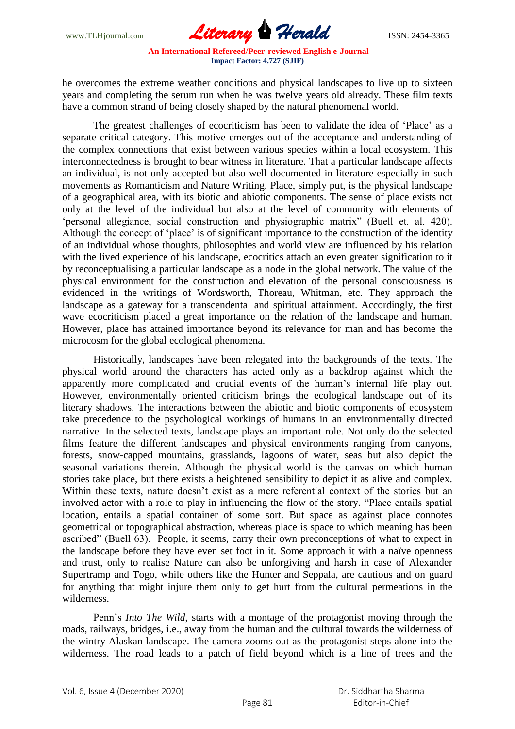

he overcomes the extreme weather conditions and physical landscapes to live up to sixteen years and completing the serum run when he was twelve years old already. These film texts have a common strand of being closely shaped by the natural phenomenal world.

The greatest challenges of ecocriticism has been to validate the idea of 'Place' as a separate critical category. This motive emerges out of the acceptance and understanding of the complex connections that exist between various species within a local ecosystem. This interconnectedness is brought to bear witness in literature. That a particular landscape affects an individual, is not only accepted but also well documented in literature especially in such movements as Romanticism and Nature Writing. Place, simply put, is the physical landscape of a geographical area, with its biotic and abiotic components. The sense of place exists not only at the level of the individual but also at the level of community with elements of ‗personal allegiance, social construction and physiographic matrix‖ (Buell et. al. 420). Although the concept of 'place' is of significant importance to the construction of the identity of an individual whose thoughts, philosophies and world view are influenced by his relation with the lived experience of his landscape, ecocritics attach an even greater signification to it by reconceptualising a particular landscape as a node in the global network. The value of the physical environment for the construction and elevation of the personal consciousness is evidenced in the writings of Wordsworth, Thoreau, Whitman, etc. They approach the landscape as a gateway for a transcendental and spiritual attainment. Accordingly, the first wave ecocriticism placed a great importance on the relation of the landscape and human. However, place has attained importance beyond its relevance for man and has become the microcosm for the global ecological phenomena.

Historically, landscapes have been relegated into the backgrounds of the texts. The physical world around the characters has acted only as a backdrop against which the apparently more complicated and crucial events of the human's internal life play out. However, environmentally oriented criticism brings the ecological landscape out of its literary shadows. The interactions between the abiotic and biotic components of ecosystem take precedence to the psychological workings of humans in an environmentally directed narrative. In the selected texts, landscape plays an important role. Not only do the selected films feature the different landscapes and physical environments ranging from canyons, forests, snow-capped mountains, grasslands, lagoons of water, seas but also depict the seasonal variations therein. Although the physical world is the canvas on which human stories take place, but there exists a heightened sensibility to depict it as alive and complex. Within these texts, nature doesn't exist as a mere referential context of the stories but an involved actor with a role to play in influencing the flow of the story. "Place entails spatial location, entails a spatial container of some sort. But space as against place connotes geometrical or topographical abstraction, whereas place is space to which meaning has been ascribed" (Buell 63). People, it seems, carry their own preconceptions of what to expect in the landscape before they have even set foot in it. Some approach it with a naïve openness and trust, only to realise Nature can also be unforgiving and harsh in case of Alexander Supertramp and Togo, while others like the Hunter and Seppala, are cautious and on guard for anything that might injure them only to get hurt from the cultural permeations in the wilderness.

Penn's *Into The Wild*, starts with a montage of the protagonist moving through the roads, railways, bridges, i.e., away from the human and the cultural towards the wilderness of the wintry Alaskan landscape. The camera zooms out as the protagonist steps alone into the wilderness. The road leads to a patch of field beyond which is a line of trees and the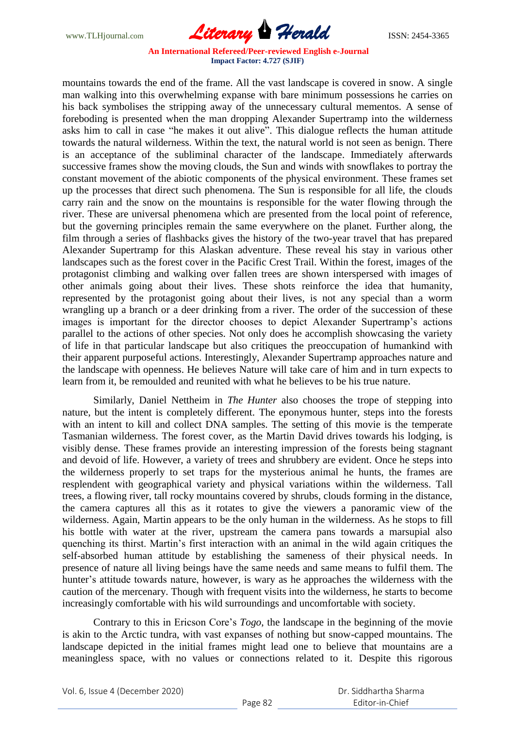

mountains towards the end of the frame. All the vast landscape is covered in snow. A single man walking into this overwhelming expanse with bare minimum possessions he carries on his back symbolises the stripping away of the unnecessary cultural mementos. A sense of foreboding is presented when the man dropping Alexander Supertramp into the wilderness asks him to call in case "he makes it out alive". This dialogue reflects the human attitude towards the natural wilderness. Within the text, the natural world is not seen as benign. There is an acceptance of the subliminal character of the landscape. Immediately afterwards successive frames show the moving clouds, the Sun and winds with snowflakes to portray the constant movement of the abiotic components of the physical environment. These frames set up the processes that direct such phenomena. The Sun is responsible for all life, the clouds carry rain and the snow on the mountains is responsible for the water flowing through the river. These are universal phenomena which are presented from the local point of reference, but the governing principles remain the same everywhere on the planet. Further along, the film through a series of flashbacks gives the history of the two-year travel that has prepared Alexander Supertramp for this Alaskan adventure. These reveal his stay in various other landscapes such as the forest cover in the Pacific Crest Trail. Within the forest, images of the protagonist climbing and walking over fallen trees are shown interspersed with images of other animals going about their lives. These shots reinforce the idea that humanity, represented by the protagonist going about their lives, is not any special than a worm wrangling up a branch or a deer drinking from a river. The order of the succession of these images is important for the director chooses to depict Alexander Supertramp's actions parallel to the actions of other species. Not only does he accomplish showcasing the variety of life in that particular landscape but also critiques the preoccupation of humankind with their apparent purposeful actions. Interestingly, Alexander Supertramp approaches nature and the landscape with openness. He believes Nature will take care of him and in turn expects to learn from it, be remoulded and reunited with what he believes to be his true nature.

Similarly, Daniel Nettheim in *The Hunter* also chooses the trope of stepping into nature, but the intent is completely different. The eponymous hunter, steps into the forests with an intent to kill and collect DNA samples. The setting of this movie is the temperate Tasmanian wilderness. The forest cover, as the Martin David drives towards his lodging, is visibly dense. These frames provide an interesting impression of the forests being stagnant and devoid of life. However, a variety of trees and shrubbery are evident. Once he steps into the wilderness properly to set traps for the mysterious animal he hunts, the frames are resplendent with geographical variety and physical variations within the wilderness. Tall trees, a flowing river, tall rocky mountains covered by shrubs, clouds forming in the distance, the camera captures all this as it rotates to give the viewers a panoramic view of the wilderness. Again, Martin appears to be the only human in the wilderness. As he stops to fill his bottle with water at the river, upstream the camera pans towards a marsupial also quenching its thirst. Martin's first interaction with an animal in the wild again critiques the self-absorbed human attitude by establishing the sameness of their physical needs. In presence of nature all living beings have the same needs and same means to fulfil them. The hunter's attitude towards nature, however, is wary as he approaches the wilderness with the caution of the mercenary. Though with frequent visits into the wilderness, he starts to become increasingly comfortable with his wild surroundings and uncomfortable with society.

Contrary to this in Ericson Core's *Togo*, the landscape in the beginning of the movie is akin to the Arctic tundra, with vast expanses of nothing but snow-capped mountains. The landscape depicted in the initial frames might lead one to believe that mountains are a meaningless space, with no values or connections related to it. Despite this rigorous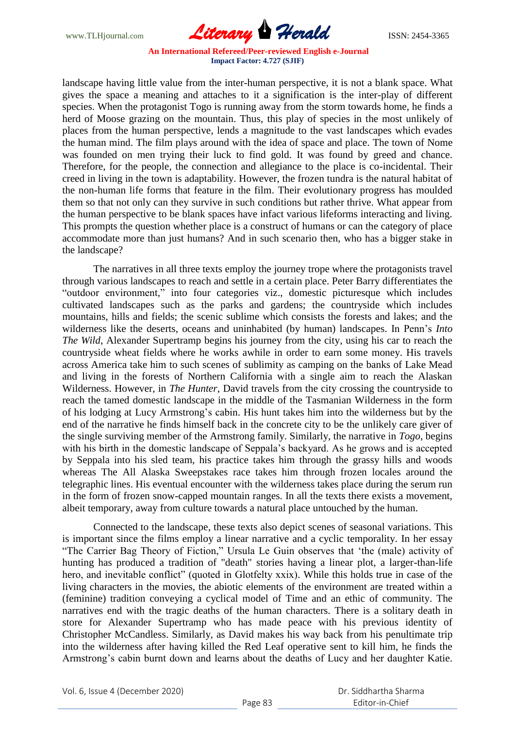

landscape having little value from the inter-human perspective, it is not a blank space. What gives the space a meaning and attaches to it a signification is the inter-play of different species. When the protagonist Togo is running away from the storm towards home, he finds a herd of Moose grazing on the mountain. Thus, this play of species in the most unlikely of places from the human perspective, lends a magnitude to the vast landscapes which evades the human mind. The film plays around with the idea of space and place. The town of Nome was founded on men trying their luck to find gold. It was found by greed and chance. Therefore, for the people, the connection and allegiance to the place is co-incidental. Their creed in living in the town is adaptability. However, the frozen tundra is the natural habitat of the non-human life forms that feature in the film. Their evolutionary progress has moulded them so that not only can they survive in such conditions but rather thrive. What appear from the human perspective to be blank spaces have infact various lifeforms interacting and living. This prompts the question whether place is a construct of humans or can the category of place accommodate more than just humans? And in such scenario then, who has a bigger stake in the landscape?

The narratives in all three texts employ the journey trope where the protagonists travel through various landscapes to reach and settle in a certain place. Peter Barry differentiates the "outdoor environment," into four categories viz., domestic picturesque which includes cultivated landscapes such as the parks and gardens; the countryside which includes mountains, hills and fields; the scenic sublime which consists the forests and lakes; and the wilderness like the deserts, oceans and uninhabited (by human) landscapes. In Penn's *Into The Wild*, Alexander Supertramp begins his journey from the city, using his car to reach the countryside wheat fields where he works awhile in order to earn some money. His travels across America take him to such scenes of sublimity as camping on the banks of Lake Mead and living in the forests of Northern California with a single aim to reach the Alaskan Wilderness. However, in *The Hunter*, David travels from the city crossing the countryside to reach the tamed domestic landscape in the middle of the Tasmanian Wilderness in the form of his lodging at Lucy Armstrong's cabin. His hunt takes him into the wilderness but by the end of the narrative he finds himself back in the concrete city to be the unlikely care giver of the single surviving member of the Armstrong family. Similarly, the narrative in *Togo*, begins with his birth in the domestic landscape of Seppala's backyard. As he grows and is accepted by Seppala into his sled team, his practice takes him through the grassy hills and woods whereas The All Alaska Sweepstakes race takes him through frozen locales around the telegraphic lines. His eventual encounter with the wilderness takes place during the serum run in the form of frozen snow-capped mountain ranges. In all the texts there exists a movement, albeit temporary, away from culture towards a natural place untouched by the human.

Connected to the landscape, these texts also depict scenes of seasonal variations. This is important since the films employ a linear narrative and a cyclic temporality. In her essay "The Carrier Bag Theory of Fiction," Ursula Le Guin observes that 'the (male) activity of hunting has produced a tradition of "death" stories having a linear plot, a larger-than-life hero, and inevitable conflict" (quoted in Glotfelty xxix). While this holds true in case of the living characters in the movies, the abiotic elements of the environment are treated within a (feminine) tradition conveying a cyclical model of Time and an ethic of community. The narratives end with the tragic deaths of the human characters. There is a solitary death in store for Alexander Supertramp who has made peace with his previous identity of Christopher McCandless. Similarly, as David makes his way back from his penultimate trip into the wilderness after having killed the Red Leaf operative sent to kill him, he finds the Armstrong's cabin burnt down and learns about the deaths of Lucy and her daughter Katie.

Vol. 6, Issue 4 (December 2020)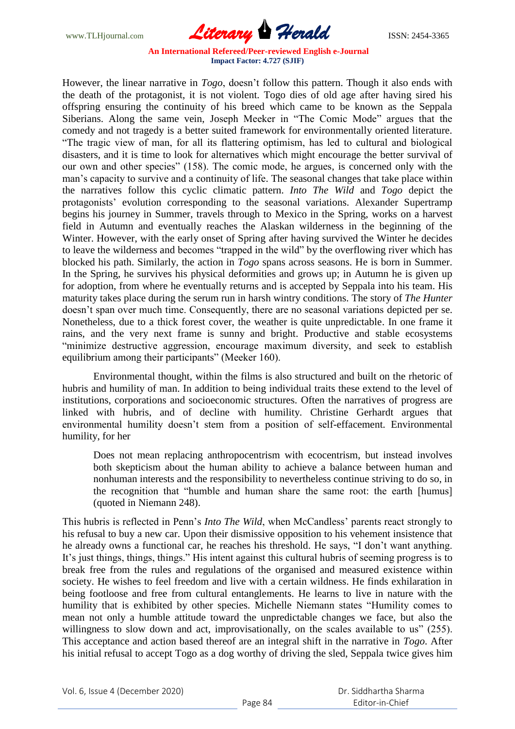

However, the linear narrative in *Togo*, doesn't follow this pattern. Though it also ends with the death of the protagonist, it is not violent. Togo dies of old age after having sired his offspring ensuring the continuity of his breed which came to be known as the Seppala Siberians. Along the same vein, Joseph Meeker in "The Comic Mode" argues that the comedy and not tragedy is a better suited framework for environmentally oriented literature. ―The tragic view of man, for all its flattering optimism, has led to cultural and biological disasters, and it is time to look for alternatives which might encourage the better survival of our own and other species" (158). The comic mode, he argues, is concerned only with the man's capacity to survive and a continuity of life. The seasonal changes that take place within the narratives follow this cyclic climatic pattern. *Into The Wild* and *Togo* depict the protagonists' evolution corresponding to the seasonal variations. Alexander Supertramp begins his journey in Summer, travels through to Mexico in the Spring, works on a harvest field in Autumn and eventually reaches the Alaskan wilderness in the beginning of the Winter. However, with the early onset of Spring after having survived the Winter he decides to leave the wilderness and becomes "trapped in the wild" by the overflowing river which has blocked his path. Similarly, the action in *Togo* spans across seasons. He is born in Summer. In the Spring, he survives his physical deformities and grows up; in Autumn he is given up for adoption, from where he eventually returns and is accepted by Seppala into his team. His maturity takes place during the serum run in harsh wintry conditions. The story of *The Hunter* doesn't span over much time. Consequently, there are no seasonal variations depicted per se. Nonetheless, due to a thick forest cover, the weather is quite unpredictable. In one frame it rains, and the very next frame is sunny and bright. Productive and stable ecosystems ―minimize destructive aggression, encourage maximum diversity, and seek to establish equilibrium among their participants" (Meeker 160).

Environmental thought, within the films is also structured and built on the rhetoric of hubris and humility of man. In addition to being individual traits these extend to the level of institutions, corporations and socioeconomic structures. Often the narratives of progress are linked with hubris, and of decline with humility. Christine Gerhardt argues that environmental humility doesn't stem from a position of self-effacement. Environmental humility, for her

Does not mean replacing anthropocentrism with ecocentrism, but instead involves both skepticism about the human ability to achieve a balance between human and nonhuman interests and the responsibility to nevertheless continue striving to do so, in the recognition that "humble and human share the same root: the earth [humus] (quoted in Niemann 248).

This hubris is reflected in Penn's *Into The Wild*, when McCandless' parents react strongly to his refusal to buy a new car. Upon their dismissive opposition to his vehement insistence that he already owns a functional car, he reaches his threshold. He says, "I don't want anything. It's just things, things, things." His intent against this cultural hubris of seeming progress is to break free from the rules and regulations of the organised and measured existence within society. He wishes to feel freedom and live with a certain wildness. He finds exhilaration in being footloose and free from cultural entanglements. He learns to live in nature with the humility that is exhibited by other species. Michelle Niemann states "Humility comes to mean not only a humble attitude toward the unpredictable changes we face, but also the willingness to slow down and act, improvisationally, on the scales available to us" (255). This acceptance and action based thereof are an integral shift in the narrative in *Togo*. After his initial refusal to accept Togo as a dog worthy of driving the sled, Seppala twice gives him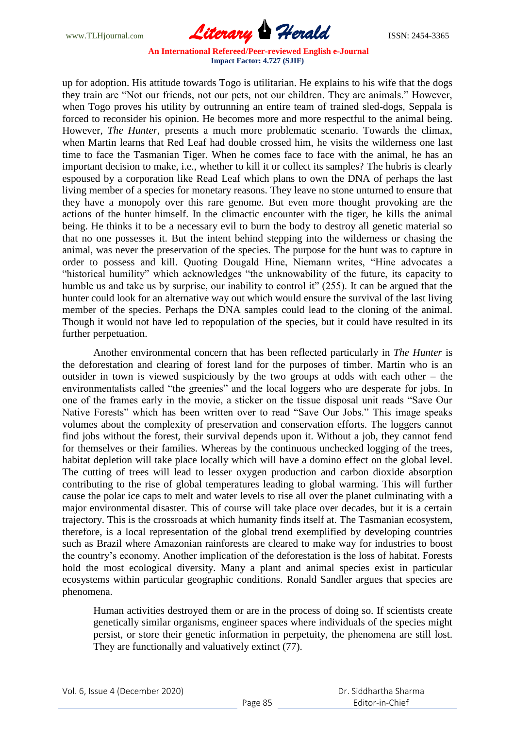

up for adoption. His attitude towards Togo is utilitarian. He explains to his wife that the dogs they train are "Not our friends, not our pets, not our children. They are animals." However, when Togo proves his utility by outrunning an entire team of trained sled-dogs, Seppala is forced to reconsider his opinion. He becomes more and more respectful to the animal being. However, *The Hunter*, presents a much more problematic scenario. Towards the climax, when Martin learns that Red Leaf had double crossed him, he visits the wilderness one last time to face the Tasmanian Tiger. When he comes face to face with the animal, he has an important decision to make, i.e., whether to kill it or collect its samples? The hubris is clearly espoused by a corporation like Read Leaf which plans to own the DNA of perhaps the last living member of a species for monetary reasons. They leave no stone unturned to ensure that they have a monopoly over this rare genome. But even more thought provoking are the actions of the hunter himself. In the climactic encounter with the tiger, he kills the animal being. He thinks it to be a necessary evil to burn the body to destroy all genetic material so that no one possesses it. But the intent behind stepping into the wilderness or chasing the animal, was never the preservation of the species. The purpose for the hunt was to capture in order to possess and kill. Quoting Dougald Hine, Niemann writes, "Hine advocates a "historical humility" which acknowledges "the unknowability of the future, its capacity to humble us and take us by surprise, our inability to control it" (255). It can be argued that the hunter could look for an alternative way out which would ensure the survival of the last living member of the species. Perhaps the DNA samples could lead to the cloning of the animal. Though it would not have led to repopulation of the species, but it could have resulted in its further perpetuation.

Another environmental concern that has been reflected particularly in *The Hunter* is the deforestation and clearing of forest land for the purposes of timber. Martin who is an outsider in town is viewed suspiciously by the two groups at odds with each other – the environmentalists called "the greenies" and the local loggers who are desperate for jobs. In one of the frames early in the movie, a sticker on the tissue disposal unit reads "Save Our Native Forests" which has been written over to read "Save Our Jobs." This image speaks volumes about the complexity of preservation and conservation efforts. The loggers cannot find jobs without the forest, their survival depends upon it. Without a job, they cannot fend for themselves or their families. Whereas by the continuous unchecked logging of the trees, habitat depletion will take place locally which will have a domino effect on the global level. The cutting of trees will lead to lesser oxygen production and carbon dioxide absorption contributing to the rise of global temperatures leading to global warming. This will further cause the polar ice caps to melt and water levels to rise all over the planet culminating with a major environmental disaster. This of course will take place over decades, but it is a certain trajectory. This is the crossroads at which humanity finds itself at. The Tasmanian ecosystem, therefore, is a local representation of the global trend exemplified by developing countries such as Brazil where Amazonian rainforests are cleared to make way for industries to boost the country's economy. Another implication of the deforestation is the loss of habitat. Forests hold the most ecological diversity. Many a plant and animal species exist in particular ecosystems within particular geographic conditions. Ronald Sandler argues that species are phenomena.

Human activities destroyed them or are in the process of doing so. If scientists create genetically similar organisms, engineer spaces where individuals of the species might persist, or store their genetic information in perpetuity, the phenomena are still lost. They are functionally and valuatively extinct (77).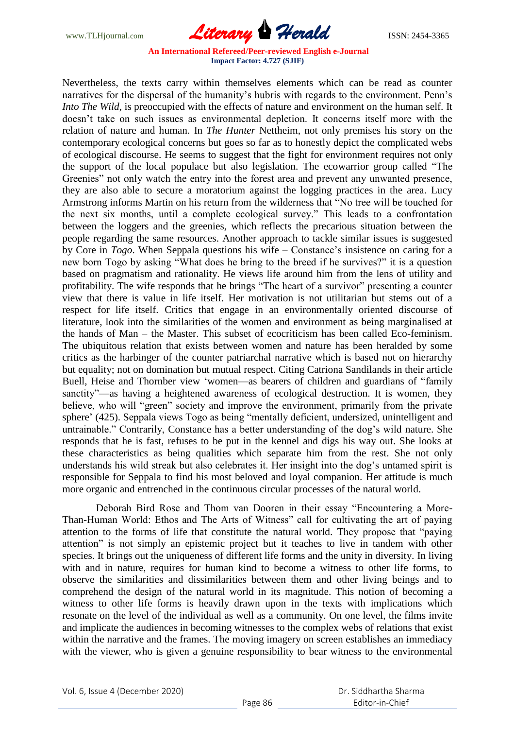

Nevertheless, the texts carry within themselves elements which can be read as counter narratives for the dispersal of the humanity's hubris with regards to the environment. Penn's *Into The Wild*, is preoccupied with the effects of nature and environment on the human self. It doesn't take on such issues as environmental depletion. It concerns itself more with the relation of nature and human. In *The Hunter* Nettheim, not only premises his story on the contemporary ecological concerns but goes so far as to honestly depict the complicated webs of ecological discourse. He seems to suggest that the fight for environment requires not only the support of the local populace but also legislation. The ecowarrior group called "The Greenies" not only watch the entry into the forest area and prevent any unwanted presence, they are also able to secure a moratorium against the logging practices in the area. Lucy Armstrong informs Martin on his return from the wilderness that "No tree will be touched for the next six months, until a complete ecological survey." This leads to a confrontation between the loggers and the greenies, which reflects the precarious situation between the people regarding the same resources. Another approach to tackle similar issues is suggested by Core in *Togo*. When Seppala questions his wife – Constance's insistence on caring for a new born Togo by asking "What does he bring to the breed if he survives?" it is a question based on pragmatism and rationality. He views life around him from the lens of utility and profitability. The wife responds that he brings "The heart of a survivor" presenting a counter view that there is value in life itself. Her motivation is not utilitarian but stems out of a respect for life itself. Critics that engage in an environmentally oriented discourse of literature, look into the similarities of the women and environment as being marginalised at the hands of Man – the Master. This subset of ecocriticism has been called Eco-feminism. The ubiquitous relation that exists between women and nature has been heralded by some critics as the harbinger of the counter patriarchal narrative which is based not on hierarchy but equality; not on domination but mutual respect. Citing Catriona Sandilands in their article Buell, Heise and Thornber view 'women—as bearers of children and guardians of "family sanctity"—as having a heightened awareness of ecological destruction. It is women, they believe, who will "green" society and improve the environment, primarily from the private sphere' (425). Seppala views Togo as being "mentally deficient, undersized, unintelligent and untrainable.‖ Contrarily, Constance has a better understanding of the dog's wild nature. She responds that he is fast, refuses to be put in the kennel and digs his way out. She looks at these characteristics as being qualities which separate him from the rest. She not only understands his wild streak but also celebrates it. Her insight into the dog's untamed spirit is responsible for Seppala to find his most beloved and loyal companion. Her attitude is much more organic and entrenched in the continuous circular processes of the natural world.

Deborah Bird Rose and Thom van Dooren in their essay "Encountering a More-Than-Human World: Ethos and The Arts of Witness" call for cultivating the art of paying attention to the forms of life that constitute the natural world. They propose that "paying attention" is not simply an epistemic project but it teaches to live in tandem with other species. It brings out the uniqueness of different life forms and the unity in diversity. In living with and in nature, requires for human kind to become a witness to other life forms, to observe the similarities and dissimilarities between them and other living beings and to comprehend the design of the natural world in its magnitude. This notion of becoming a witness to other life forms is heavily drawn upon in the texts with implications which resonate on the level of the individual as well as a community. On one level, the films invite and implicate the audiences in becoming witnesses to the complex webs of relations that exist within the narrative and the frames. The moving imagery on screen establishes an immediacy with the viewer, who is given a genuine responsibility to bear witness to the environmental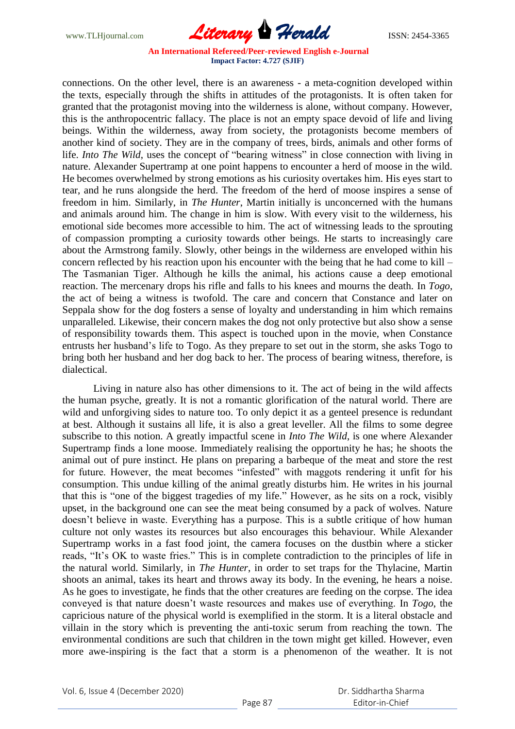

connections. On the other level, there is an awareness - a meta-cognition developed within the texts, especially through the shifts in attitudes of the protagonists. It is often taken for granted that the protagonist moving into the wilderness is alone, without company. However, this is the anthropocentric fallacy. The place is not an empty space devoid of life and living beings. Within the wilderness, away from society, the protagonists become members of another kind of society. They are in the company of trees, birds, animals and other forms of life. *Into The Wild*, uses the concept of "bearing witness" in close connection with living in nature. Alexander Supertramp at one point happens to encounter a herd of moose in the wild. He becomes overwhelmed by strong emotions as his curiosity overtakes him. His eyes start to tear, and he runs alongside the herd. The freedom of the herd of moose inspires a sense of freedom in him. Similarly, in *The Hunter*, Martin initially is unconcerned with the humans and animals around him. The change in him is slow. With every visit to the wilderness, his emotional side becomes more accessible to him. The act of witnessing leads to the sprouting of compassion prompting a curiosity towards other beings. He starts to increasingly care about the Armstrong family. Slowly, other beings in the wilderness are enveloped within his concern reflected by his reaction upon his encounter with the being that he had come to kill – The Tasmanian Tiger. Although he kills the animal, his actions cause a deep emotional reaction. The mercenary drops his rifle and falls to his knees and mourns the death. In *Togo*, the act of being a witness is twofold. The care and concern that Constance and later on Seppala show for the dog fosters a sense of loyalty and understanding in him which remains unparalleled. Likewise, their concern makes the dog not only protective but also show a sense of responsibility towards them. This aspect is touched upon in the movie, when Constance entrusts her husband's life to Togo. As they prepare to set out in the storm, she asks Togo to bring both her husband and her dog back to her. The process of bearing witness, therefore, is dialectical.

Living in nature also has other dimensions to it. The act of being in the wild affects the human psyche, greatly. It is not a romantic glorification of the natural world. There are wild and unforgiving sides to nature too. To only depict it as a genteel presence is redundant at best. Although it sustains all life, it is also a great leveller. All the films to some degree subscribe to this notion. A greatly impactful scene in *Into The Wild*, is one where Alexander Supertramp finds a lone moose. Immediately realising the opportunity he has; he shoots the animal out of pure instinct. He plans on preparing a barbeque of the meat and store the rest for future. However, the meat becomes "infested" with maggots rendering it unfit for his consumption. This undue killing of the animal greatly disturbs him. He writes in his journal that this is "one of the biggest tragedies of my life." However, as he sits on a rock, visibly upset, in the background one can see the meat being consumed by a pack of wolves. Nature doesn't believe in waste. Everything has a purpose. This is a subtle critique of how human culture not only wastes its resources but also encourages this behaviour. While Alexander Supertramp works in a fast food joint, the camera focuses on the dustbin where a sticker reads, "It's OK to waste fries." This is in complete contradiction to the principles of life in the natural world. Similarly, in *The Hunter*, in order to set traps for the Thylacine, Martin shoots an animal, takes its heart and throws away its body. In the evening, he hears a noise. As he goes to investigate, he finds that the other creatures are feeding on the corpse. The idea conveyed is that nature doesn't waste resources and makes use of everything. In *Togo*, the capricious nature of the physical world is exemplified in the storm. It is a literal obstacle and villain in the story which is preventing the anti-toxic serum from reaching the town. The environmental conditions are such that children in the town might get killed. However, even more awe-inspiring is the fact that a storm is a phenomenon of the weather. It is not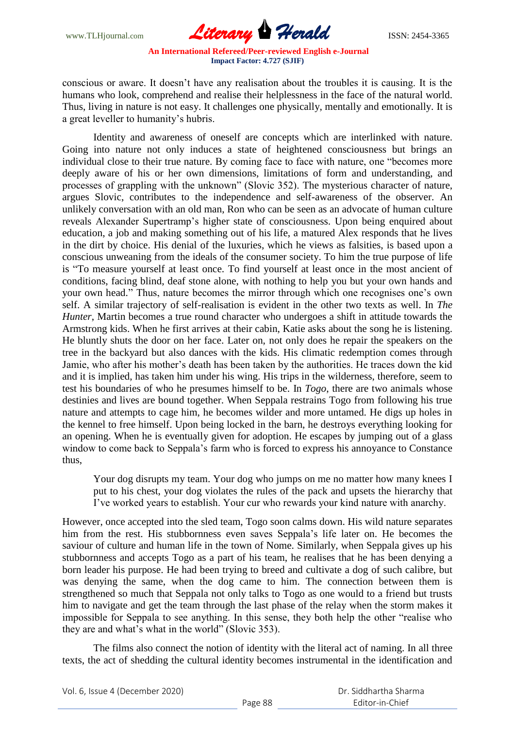

conscious or aware. It doesn't have any realisation about the troubles it is causing. It is the humans who look, comprehend and realise their helplessness in the face of the natural world. Thus, living in nature is not easy. It challenges one physically, mentally and emotionally. It is a great leveller to humanity's hubris.

Identity and awareness of oneself are concepts which are interlinked with nature. Going into nature not only induces a state of heightened consciousness but brings an individual close to their true nature. By coming face to face with nature, one "becomes more deeply aware of his or her own dimensions, limitations of form and understanding, and processes of grappling with the unknown" (Slovic 352). The mysterious character of nature, argues Slovic, contributes to the independence and self-awareness of the observer. An unlikely conversation with an old man, Ron who can be seen as an advocate of human culture reveals Alexander Supertramp's higher state of consciousness. Upon being enquired about education, a job and making something out of his life, a matured Alex responds that he lives in the dirt by choice. His denial of the luxuries, which he views as falsities, is based upon a conscious unweaning from the ideals of the consumer society. To him the true purpose of life is "To measure yourself at least once. To find yourself at least once in the most ancient of conditions, facing blind, deaf stone alone, with nothing to help you but your own hands and your own head." Thus, nature becomes the mirror through which one recognises one's own self. A similar trajectory of self-realisation is evident in the other two texts as well. In *The Hunter*, Martin becomes a true round character who undergoes a shift in attitude towards the Armstrong kids. When he first arrives at their cabin, Katie asks about the song he is listening. He bluntly shuts the door on her face. Later on, not only does he repair the speakers on the tree in the backyard but also dances with the kids. His climatic redemption comes through Jamie, who after his mother's death has been taken by the authorities. He traces down the kid and it is implied, has taken him under his wing. His trips in the wilderness, therefore, seem to test his boundaries of who he presumes himself to be. In *Togo*, there are two animals whose destinies and lives are bound together. When Seppala restrains Togo from following his true nature and attempts to cage him, he becomes wilder and more untamed. He digs up holes in the kennel to free himself. Upon being locked in the barn, he destroys everything looking for an opening. When he is eventually given for adoption. He escapes by jumping out of a glass window to come back to Seppala's farm who is forced to express his annoyance to Constance thus,

Your dog disrupts my team. Your dog who jumps on me no matter how many knees I put to his chest, your dog violates the rules of the pack and upsets the hierarchy that I've worked years to establish. Your cur who rewards your kind nature with anarchy.

However, once accepted into the sled team, Togo soon calms down. His wild nature separates him from the rest. His stubbornness even saves Seppala's life later on. He becomes the saviour of culture and human life in the town of Nome. Similarly, when Seppala gives up his stubbornness and accepts Togo as a part of his team, he realises that he has been denying a born leader his purpose. He had been trying to breed and cultivate a dog of such calibre, but was denying the same, when the dog came to him. The connection between them is strengthened so much that Seppala not only talks to Togo as one would to a friend but trusts him to navigate and get the team through the last phase of the relay when the storm makes it impossible for Seppala to see anything. In this sense, they both help the other "realise who they are and what's what in the world" (Slovic 353).

The films also connect the notion of identity with the literal act of naming. In all three texts, the act of shedding the cultural identity becomes instrumental in the identification and

Vol. 6, Issue 4 (December 2020)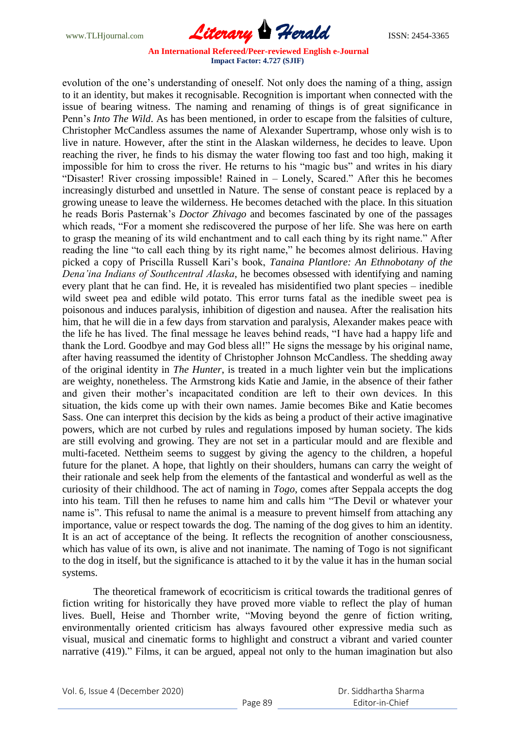

evolution of the one's understanding of oneself. Not only does the naming of a thing, assign to it an identity, but makes it recognisable. Recognition is important when connected with the issue of bearing witness. The naming and renaming of things is of great significance in Penn's *Into The Wild*. As has been mentioned, in order to escape from the falsities of culture, Christopher McCandless assumes the name of Alexander Supertramp, whose only wish is to live in nature. However, after the stint in the Alaskan wilderness, he decides to leave. Upon reaching the river, he finds to his dismay the water flowing too fast and too high, making it impossible for him to cross the river. He returns to his "magic bus" and writes in his diary "Disaster! River crossing impossible! Rained in – Lonely, Scared." After this he becomes increasingly disturbed and unsettled in Nature. The sense of constant peace is replaced by a growing unease to leave the wilderness. He becomes detached with the place. In this situation he reads Boris Pasternak's *Doctor Zhivago* and becomes fascinated by one of the passages which reads, "For a moment she rediscovered the purpose of her life. She was here on earth to grasp the meaning of its wild enchantment and to call each thing by its right name." After reading the line "to call each thing by its right name," he becomes almost delirious. Having picked a copy of Priscilla Russell Kari's book, *Tanaina Plantlore: An Ethnobotany of the Dena'ina Indians of Southcentral Alaska*, he becomes obsessed with identifying and naming every plant that he can find. He, it is revealed has misidentified two plant species – inedible wild sweet pea and edible wild potato. This error turns fatal as the inedible sweet pea is poisonous and induces paralysis, inhibition of digestion and nausea. After the realisation hits him, that he will die in a few days from starvation and paralysis, Alexander makes peace with the life he has lived. The final message he leaves behind reads, "I have had a happy life and thank the Lord. Goodbye and may God bless all!" He signs the message by his original name, after having reassumed the identity of Christopher Johnson McCandless. The shedding away of the original identity in *The Hunter*, is treated in a much lighter vein but the implications are weighty, nonetheless. The Armstrong kids Katie and Jamie, in the absence of their father and given their mother's incapacitated condition are left to their own devices. In this situation, the kids come up with their own names. Jamie becomes Bike and Katie becomes Sass. One can interpret this decision by the kids as being a product of their active imaginative powers, which are not curbed by rules and regulations imposed by human society. The kids are still evolving and growing. They are not set in a particular mould and are flexible and multi-faceted. Nettheim seems to suggest by giving the agency to the children, a hopeful future for the planet. A hope, that lightly on their shoulders, humans can carry the weight of their rationale and seek help from the elements of the fantastical and wonderful as well as the curiosity of their childhood. The act of naming in *Togo*, comes after Seppala accepts the dog into his team. Till then he refuses to name him and calls him "The Devil or whatever your name is". This refusal to name the animal is a measure to prevent himself from attaching any importance, value or respect towards the dog. The naming of the dog gives to him an identity. It is an act of acceptance of the being. It reflects the recognition of another consciousness, which has value of its own, is alive and not inanimate. The naming of Togo is not significant to the dog in itself, but the significance is attached to it by the value it has in the human social systems.

The theoretical framework of ecocriticism is critical towards the traditional genres of fiction writing for historically they have proved more viable to reflect the play of human lives. Buell, Heise and Thornber write, "Moving beyond the genre of fiction writing, environmentally oriented criticism has always favoured other expressive media such as visual, musical and cinematic forms to highlight and construct a vibrant and varied counter narrative (419)." Films, it can be argued, appeal not only to the human imagination but also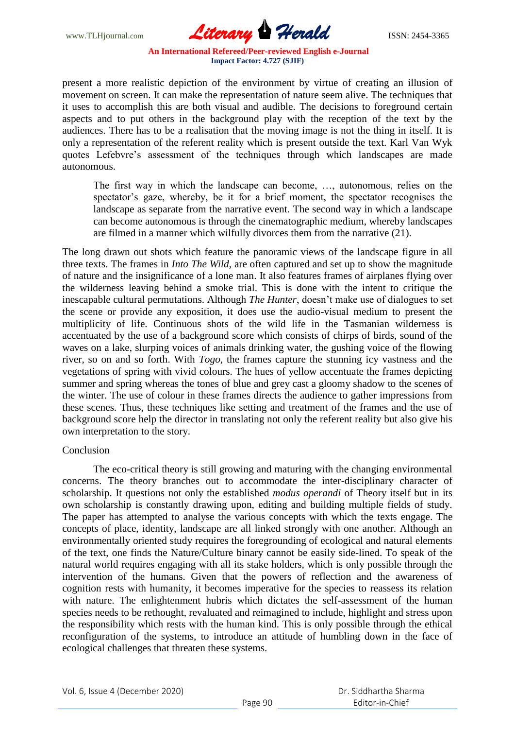

present a more realistic depiction of the environment by virtue of creating an illusion of movement on screen. It can make the representation of nature seem alive. The techniques that it uses to accomplish this are both visual and audible. The decisions to foreground certain aspects and to put others in the background play with the reception of the text by the audiences. There has to be a realisation that the moving image is not the thing in itself. It is only a representation of the referent reality which is present outside the text. Karl Van Wyk quotes Lefebvre's assessment of the techniques through which landscapes are made autonomous.

The first way in which the landscape can become, …, autonomous, relies on the spectator's gaze, whereby, be it for a brief moment, the spectator recognises the landscape as separate from the narrative event. The second way in which a landscape can become autonomous is through the cinematographic medium, whereby landscapes are filmed in a manner which wilfully divorces them from the narrative (21).

The long drawn out shots which feature the panoramic views of the landscape figure in all three texts. The frames in *Into The Wild*, are often captured and set up to show the magnitude of nature and the insignificance of a lone man. It also features frames of airplanes flying over the wilderness leaving behind a smoke trial. This is done with the intent to critique the inescapable cultural permutations. Although *The Hunter*, doesn't make use of dialogues to set the scene or provide any exposition, it does use the audio-visual medium to present the multiplicity of life. Continuous shots of the wild life in the Tasmanian wilderness is accentuated by the use of a background score which consists of chirps of birds, sound of the waves on a lake, slurping voices of animals drinking water, the gushing voice of the flowing river, so on and so forth. With *Togo*, the frames capture the stunning icy vastness and the vegetations of spring with vivid colours. The hues of yellow accentuate the frames depicting summer and spring whereas the tones of blue and grey cast a gloomy shadow to the scenes of the winter. The use of colour in these frames directs the audience to gather impressions from these scenes. Thus, these techniques like setting and treatment of the frames and the use of background score help the director in translating not only the referent reality but also give his own interpretation to the story.

## Conclusion

The eco-critical theory is still growing and maturing with the changing environmental concerns. The theory branches out to accommodate the inter-disciplinary character of scholarship. It questions not only the established *modus operandi* of Theory itself but in its own scholarship is constantly drawing upon, editing and building multiple fields of study. The paper has attempted to analyse the various concepts with which the texts engage. The concepts of place, identity, landscape are all linked strongly with one another. Although an environmentally oriented study requires the foregrounding of ecological and natural elements of the text, one finds the Nature/Culture binary cannot be easily side-lined. To speak of the natural world requires engaging with all its stake holders, which is only possible through the intervention of the humans. Given that the powers of reflection and the awareness of cognition rests with humanity, it becomes imperative for the species to reassess its relation with nature. The enlightenment hubris which dictates the self-assessment of the human species needs to be rethought, revaluated and reimagined to include, highlight and stress upon the responsibility which rests with the human kind. This is only possible through the ethical reconfiguration of the systems, to introduce an attitude of humbling down in the face of ecological challenges that threaten these systems.